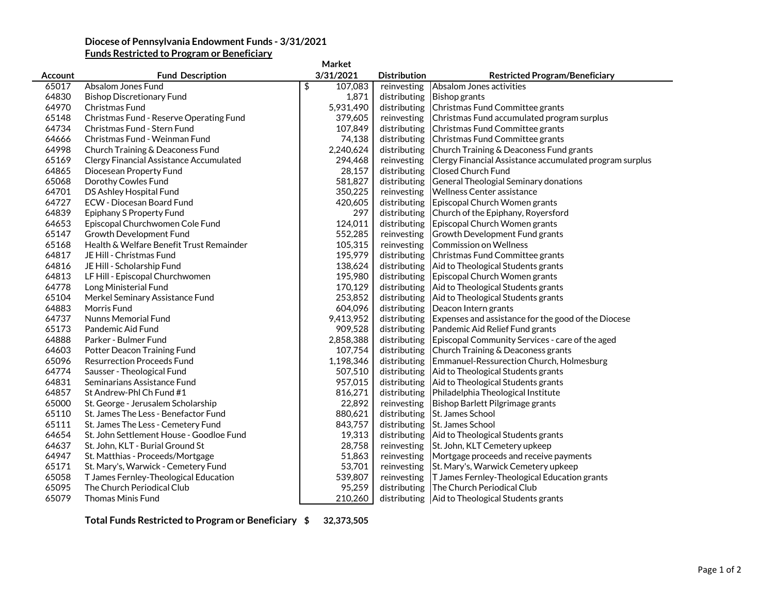## **Diocese of Pennsylvania Endowment Funds - 3/31/2021**

## **Funds Restricted to Program or Beneficiary**

| Market  |                                          |               |                     |                                                         |  |  |  |
|---------|------------------------------------------|---------------|---------------------|---------------------------------------------------------|--|--|--|
| Account | <b>Fund Description</b>                  | 3/31/2021     | <b>Distribution</b> | <b>Restricted Program/Beneficiary</b>                   |  |  |  |
| 65017   | Absalom Jones Fund                       | \$<br>107,083 | reinvesting         | Absalom Jones activities                                |  |  |  |
| 64830   | <b>Bishop Discretionary Fund</b>         | 1,871         | distributing        | <b>Bishop grants</b>                                    |  |  |  |
| 64970   | Christmas Fund                           | 5,931,490     | distributing        | Christmas Fund Committee grants                         |  |  |  |
| 65148   | Christmas Fund - Reserve Operating Fund  | 379,605       | reinvesting         | Christmas Fund accumulated program surplus              |  |  |  |
| 64734   | Christmas Fund - Stern Fund              | 107,849       | distributing        | Christmas Fund Committee grants                         |  |  |  |
| 64666   | Christmas Fund - Weinman Fund            | 74,138        | distributing        | Christmas Fund Committee grants                         |  |  |  |
| 64998   | Church Training & Deaconess Fund         | 2,240,624     | distributing        | Church Training & Deaconess Fund grants                 |  |  |  |
| 65169   | Clergy Financial Assistance Accumulated  | 294,468       | reinvesting         | Clergy Financial Assistance accumulated program surplus |  |  |  |
| 64865   | Diocesean Property Fund                  | 28,157        | distributing        | <b>Closed Church Fund</b>                               |  |  |  |
| 65068   | Dorothy Cowles Fund                      | 581,827       | distributing        | General Theologial Seminary donations                   |  |  |  |
| 64701   | DS Ashley Hospital Fund                  | 350,225       | reinvesting         | <b>Wellness Center assistance</b>                       |  |  |  |
| 64727   | <b>ECW</b> - Diocesan Board Fund         | 420,605       | distributing        | Episcopal Church Women grants                           |  |  |  |
| 64839   | <b>Epiphany S Property Fund</b>          | 297           | distributing        | Church of the Epiphany, Royersford                      |  |  |  |
| 64653   | Episcopal Churchwomen Cole Fund          | 124,011       | distributing        | Episcopal Church Women grants                           |  |  |  |
| 65147   | Growth Development Fund                  | 552,285       | reinvesting         | Growth Development Fund grants                          |  |  |  |
| 65168   | Health & Welfare Benefit Trust Remainder | 105,315       | reinvesting         | Commission on Wellness                                  |  |  |  |
| 64817   | JE Hill - Christmas Fund                 | 195,979       |                     | distributing Christmas Fund Committee grants            |  |  |  |
| 64816   | JE Hill - Scholarship Fund               | 138,624       |                     | distributing   Aid to Theological Students grants       |  |  |  |
| 64813   | LF Hill - Episcopal Churchwomen          | 195,980       |                     | distributing Episcopal Church Women grants              |  |  |  |
| 64778   | Long Ministerial Fund                    | 170,129       | distributing        | Aid to Theological Students grants                      |  |  |  |
| 65104   | Merkel Seminary Assistance Fund          | 253,852       | distributing        | Aid to Theological Students grants                      |  |  |  |
| 64883   | Morris Fund                              | 604,096       | distributing        | Deacon Intern grants                                    |  |  |  |
| 64737   | <b>Nunns Memorial Fund</b>               | 9,413,952     | distributing        | Expenses and assistance for the good of the Diocese     |  |  |  |
| 65173   | Pandemic Aid Fund                        | 909,528       | distributing        | Pandemic Aid Relief Fund grants                         |  |  |  |
| 64888   | Parker - Bulmer Fund                     | 2,858,388     | distributing        | Episcopal Community Services - care of the aged         |  |  |  |
| 64603   | Potter Deacon Training Fund              | 107,754       |                     | distributing Church Training & Deaconess grants         |  |  |  |
| 65096   | <b>Resurrection Proceeds Fund</b>        | 1,198,346     | distributing        | Emmanuel-Ressurection Church, Holmesburg                |  |  |  |
| 64774   | Sausser - Theological Fund               | 507,510       | distributing        | Aid to Theological Students grants                      |  |  |  |
| 64831   | Seminarians Assistance Fund              | 957,015       | distributing        | Aid to Theological Students grants                      |  |  |  |
| 64857   | St Andrew-Phl Ch Fund #1                 | 816,271       | distributing        | Philadelphia Theological Institute                      |  |  |  |
| 65000   | St. George - Jerusalem Scholarship       | 22,892        | reinvesting         | Bishop Barlett Pilgrimage grants                        |  |  |  |
| 65110   | St. James The Less - Benefactor Fund     | 880,621       | distributing        | St. James School                                        |  |  |  |
| 65111   | St. James The Less - Cemetery Fund       | 843,757       | distributing        | St. James School                                        |  |  |  |
| 64654   | St. John Settlement House - Goodloe Fund | 19,313        |                     | distributing Aid to Theological Students grants         |  |  |  |
| 64637   | St. John, KLT - Burial Ground St         | 28,758        |                     | reinvesting St. John, KLT Cemetery upkeep               |  |  |  |
| 64947   | St. Matthias - Proceeds/Mortgage         | 51,863        | reinvesting         | Mortgage proceeds and receive payments                  |  |  |  |
| 65171   | St. Mary's, Warwick - Cemetery Fund      | 53,701        | reinvesting         | St. Mary's, Warwick Cemetery upkeep                     |  |  |  |
| 65058   | T James Fernley-Theological Education    | 539,807       | reinvesting         | T James Fernley-Theological Education grants            |  |  |  |
| 65095   | The Church Periodical Club               | 95,259        |                     | distributing The Church Periodical Club                 |  |  |  |
| 65079   | <b>Thomas Minis Fund</b>                 | 210,260       |                     | distributing   Aid to Theological Students grants       |  |  |  |

**Total Funds Restricted to Program or Beneficiary \$ 32,373,505**